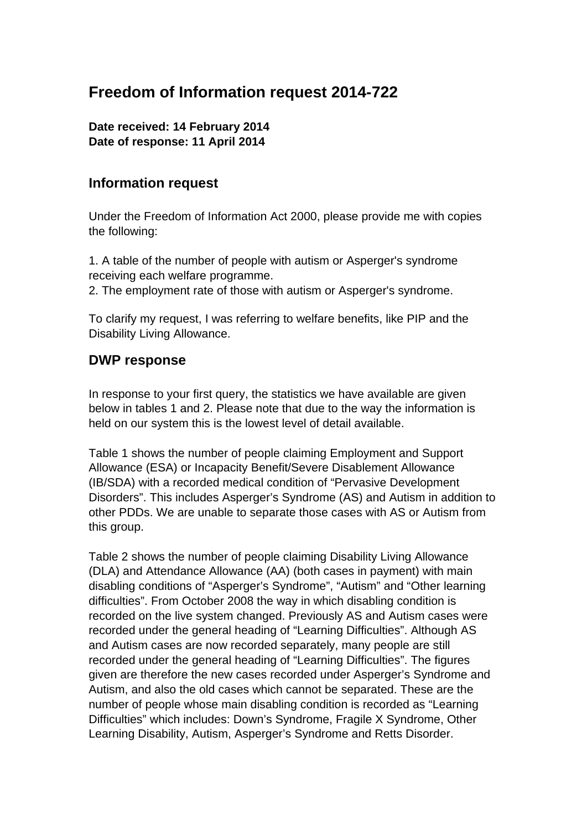# **Freedom of Information request 2014-722**

**Date received: 14 February 2014 Date of response: 11 April 2014** 

# **Information request**

Under the Freedom of Information Act 2000, please provide me with copies the following:

1. A table of the number of people with autism or Asperger's syndrome receiving each welfare programme.

2. The employment rate of those with autism or Asperger's syndrome.

To clarify my request, I was referring to welfare benefits, like PIP and the Disability Living Allowance.

# **DWP response**

In response to your first query, the statistics we have available are given below in tables 1 and 2. Please note that due to the way the information is held on our system this is the lowest level of detail available.

Table 1 shows the number of people claiming Employment and Support Allowance (ESA) or Incapacity Benefit/Severe Disablement Allowance (IB/SDA) with a recorded medical condition of "Pervasive Development Disorders". This includes Asperger's Syndrome (AS) and Autism in addition to other PDDs. We are unable to separate those cases with AS or Autism from this group.

Table 2 shows the number of people claiming Disability Living Allowance (DLA) and Attendance Allowance (AA) (both cases in payment) with main disabling conditions of "Asperger's Syndrome", "Autism" and "Other learning difficulties". From October 2008 the way in which disabling condition is recorded on the live system changed. Previously AS and Autism cases were recorded under the general heading of "Learning Difficulties". Although AS and Autism cases are now recorded separately, many people are still recorded under the general heading of "Learning Difficulties". The figures given are therefore the new cases recorded under Asperger's Syndrome and Autism, and also the old cases which cannot be separated. These are the number of people whose main disabling condition is recorded as "Learning Difficulties" which includes: Down's Syndrome, Fragile X Syndrome, Other Learning Disability, Autism, Asperger's Syndrome and Retts Disorder.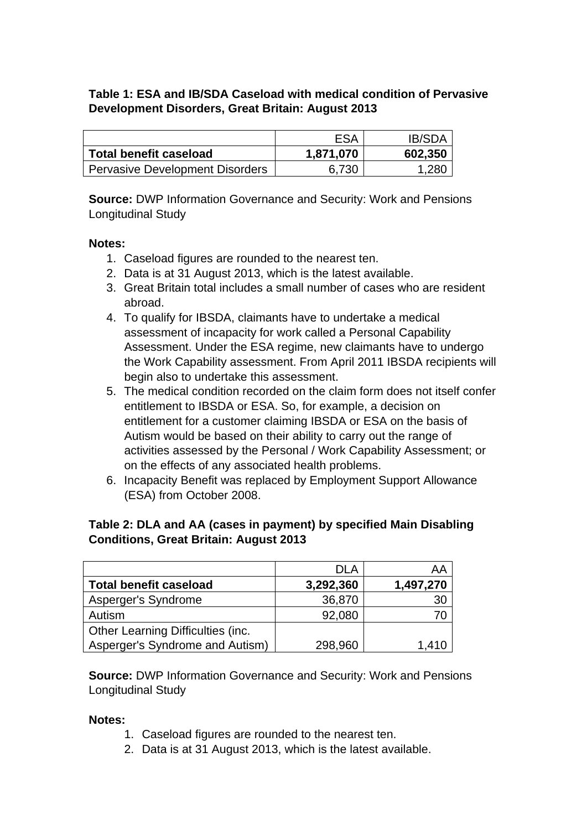### **Table 1: ESA and IB/SDA Caseload with medical condition of Pervasive Development Disorders, Great Britain: August 2013**

|                                        | <b>ESA</b> | <b>IB/SDA</b> |
|----------------------------------------|------------|---------------|
| <b>Total benefit caseload</b>          | 1,871,070  | 602,350       |
| <b>Pervasive Development Disorders</b> | 6,730      | 1,280         |

**Source:** DWP Information Governance and Security: Work and Pensions Longitudinal Study

#### **Notes:**

- 1. Caseload figures are rounded to the nearest ten.
- 2. Data is at 31 August 2013, which is the latest available.
- 3. Great Britain total includes a small number of cases who are resident abroad.
- 4. To qualify for IBSDA, claimants have to undertake a medical assessment of incapacity for work called a Personal Capability Assessment. Under the ESA regime, new claimants have to undergo the Work Capability assessment. From April 2011 IBSDA recipients will begin also to undertake this assessment.
- 5. The medical condition recorded on the claim form does not itself confer entitlement to IBSDA or ESA. So, for example, a decision on entitlement for a customer claiming IBSDA or ESA on the basis of Autism would be based on their ability to carry out the range of activities assessed by the Personal / Work Capability Assessment; or on the effects of any associated health problems.
- 6. Incapacity Benefit was replaced by Employment Support Allowance (ESA) from October 2008.

#### **Table 2: DLA and AA (cases in payment) by specified Main Disabling Conditions, Great Britain: August 2013**

|                                   | DLA       | AA        |
|-----------------------------------|-----------|-----------|
| <b>Total benefit caseload</b>     | 3,292,360 | 1,497,270 |
| Asperger's Syndrome               | 36,870    | 30        |
| Autism                            | 92,080    |           |
| Other Learning Difficulties (inc. |           |           |
| Asperger's Syndrome and Autism)   | 298,960   | 1,410     |

**Source:** DWP Information Governance and Security: Work and Pensions Longitudinal Study

#### **Notes:**

- 1. Caseload figures are rounded to the nearest ten.
- 2. Data is at 31 August 2013, which is the latest available.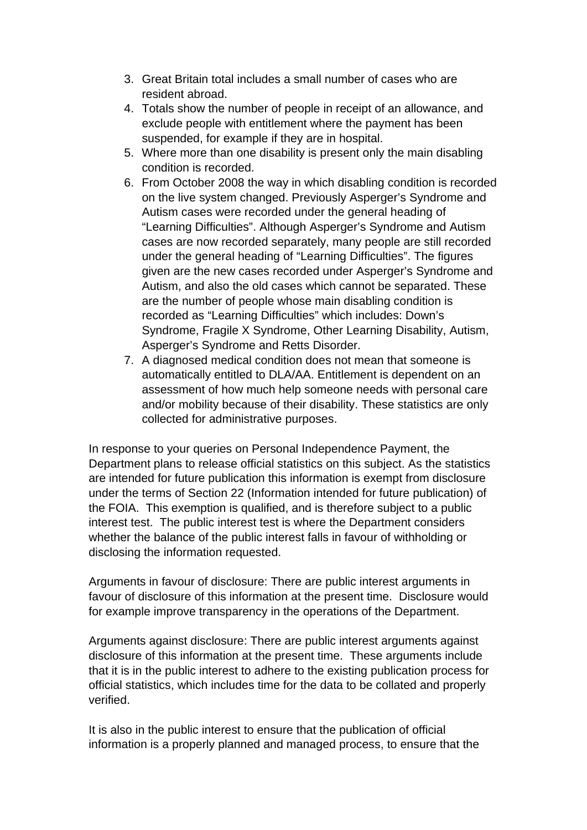- 3. Great Britain total includes a small number of cases who are resident abroad.
- 4. Totals show the number of people in receipt of an allowance, and exclude people with entitlement where the payment has been suspended, for example if they are in hospital.
- 5. Where more than one disability is present only the main disabling condition is recorded.
- 6. From October 2008 the way in which disabling condition is recorded on the live system changed. Previously Asperger's Syndrome and Autism cases were recorded under the general heading of "Learning Difficulties". Although Asperger's Syndrome and Autism cases are now recorded separately, many people are still recorded under the general heading of "Learning Difficulties". The figures given are the new cases recorded under Asperger's Syndrome and Autism, and also the old cases which cannot be separated. These are the number of people whose main disabling condition is recorded as "Learning Difficulties" which includes: Down's Syndrome, Fragile X Syndrome, Other Learning Disability, Autism, Asperger's Syndrome and Retts Disorder.
- 7. A diagnosed medical condition does not mean that someone is automatically entitled to DLA/AA. Entitlement is dependent on an assessment of how much help someone needs with personal care and/or mobility because of their disability. These statistics are only collected for administrative purposes.

In response to your queries on Personal Independence Payment, the Department plans to release official statistics on this subject. As the statistics are intended for future publication this information is exempt from disclosure under the terms of Section 22 (Information intended for future publication) of the FOIA. This exemption is qualified, and is therefore subject to a public interest test. The public interest test is where the Department considers whether the balance of the public interest falls in favour of withholding or disclosing the information requested.

Arguments in favour of disclosure: There are public interest arguments in favour of disclosure of this information at the present time. Disclosure would for example improve transparency in the operations of the Department.

Arguments against disclosure: There are public interest arguments against disclosure of this information at the present time. These arguments include that it is in the public interest to adhere to the existing publication process for official statistics, which includes time for the data to be collated and properly verified.

It is also in the public interest to ensure that the publication of official information is a properly planned and managed process, to ensure that the